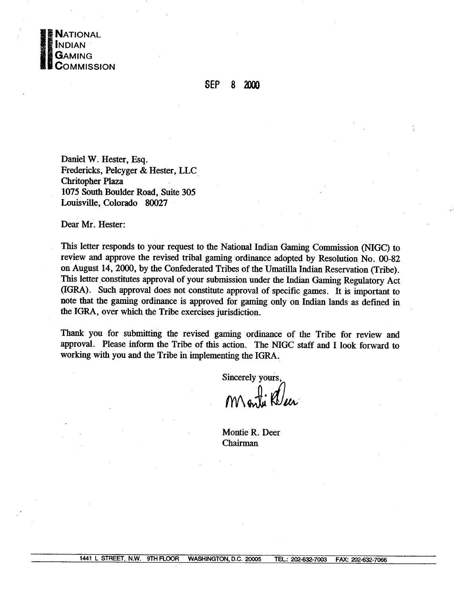

## **SEP 8 2000**

Daniel W. Hester, **Esq.**  Fredericks, Pelcyger & Hester, LLC Chritopher Plaza 1075 South Boulder Road, Suite 305 Louisville, Colorado **80027** 

Dear Mr. Hester:

This letter responds to your request to the National Indian Gaming Commission (NIGC) to review and approve the revised tribal gaming ordinance adopted by Resolution No. 00-82 on August 14,2000, by the Confederated Tribes of the Umatilla Indian Reservation (Tribe). **This** letter constitutes approval of your submission under the Indian **Gaming** Regulatory Act (IGRA). Such approval does not constitute approval of specific games. It is important to note that the gaming ordinance is approved for gaming only on Indian lands as defined in the IGRA, over which the Tribe exercises jurisdiction.

**Thank** you for submitting the revised gaming ordinance of the Tribe for review and approval. Please inform the Tribe of this action. The **NIGC staff** and I look forward to working with you and the Tribe in implementing the IGRA.

Sincerely yours,<br>Month Kleer

Montie R. Deer Chairman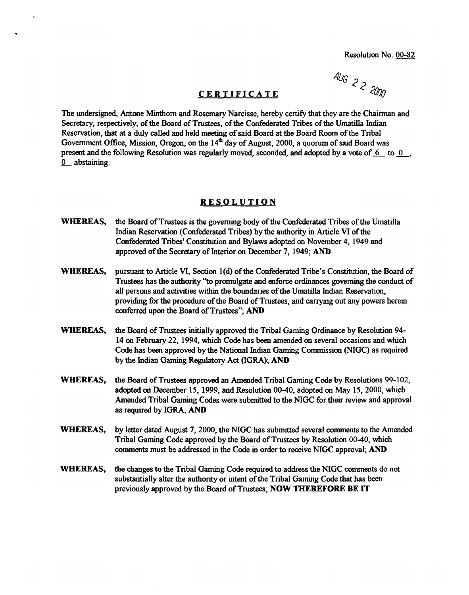## **CERTIFICATE**

AUG 2 2 2000

The undersigned, Antone Minthorn and Rosemary Narcisse, hereby certify that they are the Chairman and Secretary, respectively, of the Board of Trustees, of the Confederated Tribes of the Umatilla Indian Reservation, that at a duly called and held meeting of said Board at the Board Room of the Tribal Government Office, Mission, Oregon, on the  $14<sup>th</sup>$  day of August, 2000, a quorum of said Board was present and the following Resolution was regularly moved, seconded, and adopted by a vote of  $6$  to  $0$ , - 0 abstaining.

## **RESOLUTION**

- **WHEREAS,** the Board of Trustees is the governing body of the Confederated Tribes of the Umatilla Indian Reservation (Confederated Tribes) by the authority in Article **VI** of the Confederated Tribes' Constitution and Bylaws adopted on November 4, 1949 and approved of the Secretary of Interior **on** December 7,1949; **AND**
- **WHEREAS,** pursuant to Article VI, Section l(d) of the Confederated Tribe's Constitution, the Board of Trustees has the authority **'to** promulgate and edorce ordinances governing the conduct of all persons and activities within the boundaries of the Umatilla Indian Reservation, providing for the procedure of the Board of Trustees, and carrying out any powers herein conferred upon the Board of Trustees"; AND
- **WHEREAS,** the Board of Trustees initially approved the Tribal Gaming Ordinance by Resolution 94- 14 on February 22, 1994, which Code has been amended on several occasions and which Code has **been** approved by the National Indian **Gaming** Commission (NIGC) as required by the Indian Gaming Regulatory **Act** (IGRA); AND
- **WHEREAS,** the Board of Trustees approved an Amended Tribal Gaming Code by Resolutions 99-102, adopted on December 15, 1999, and Resolution 00-40, adopted on May 15,2000, which Amended Tribal Gaming Codes were submitted to the NIGC for their review and approval as required by IGRA; **AND**
- **WHEREAS,** by letter dated August 7,2000, the NIGC has submitted several **comments** to the Amended Tribal Gaming Code approved by the Board of Trustees by Resolution 00-40, which comments must be addressed in the Code in order to receive NIGC approval; **AND**
- **WHEREAS,** the changes to the Tribal **Gaming** Code required to address the NIGC **comments** do **not**  substantially alter the authority or intent of the Tribal Gaming Code that has been previously approved by the Board of Trustees; **NOW THEREFORE BE IT**